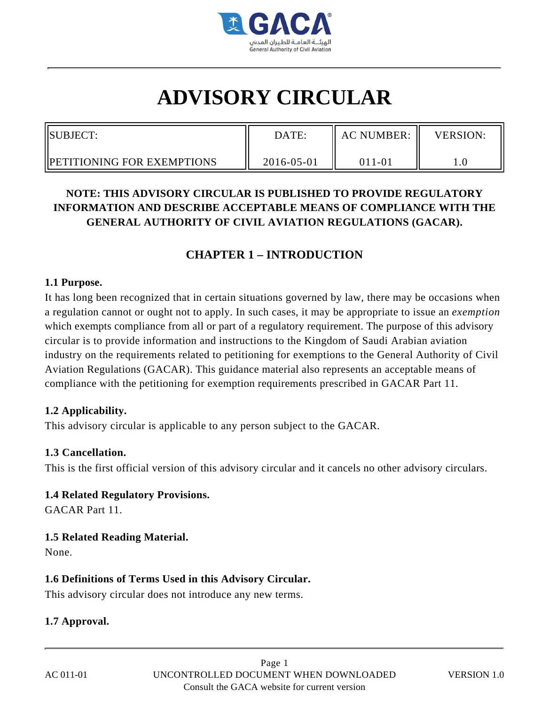

# **ADVISORY CIRCULAR**

| SUBJECT:                           | DATE:      | <b>AC NUMBER:</b> | <b>VERSION:</b> |
|------------------------------------|------------|-------------------|-----------------|
| <b>IPETITIONING FOR EXEMPTIONS</b> | 2016-05-01 | 011-01            |                 |

### **NOTE: THIS ADVISORY CIRCULAR IS PUBLISHED TO PROVIDE REGULATORY INFORMATION AND DESCRIBE ACCEPTABLE MEANS OF COMPLIANCE WITH THE GENERAL AUTHORITY OF CIVIL AVIATION REGULATIONS (GACAR).**

## **CHAPTER 1 – INTRODUCTION**

#### **1.1 Purpose.**

It has long been recognized that in certain situations governed by law, there may be occasions when a regulation cannot or ought not to apply. In such cases, it may be appropriate to issue an *exemption* which exempts compliance from all or part of a regulatory requirement. The purpose of this advisory circular is to provide information and instructions to the Kingdom of Saudi Arabian aviation industry on the requirements related to petitioning for exemptions to the General Authority of Civil Aviation Regulations (GACAR). This guidance material also represents an acceptable means of compliance with the petitioning for exemption requirements prescribed in GACAR Part 11.

#### **1.2 Applicability.**

This advisory circular is applicable to any person subject to the GACAR.

#### **1.3 Cancellation.**

This is the first official version of this advisory circular and it cancels no other advisory circulars.

#### **1.4 Related Regulatory Provisions.**

GACAR Part 11.

#### **1.5 Related Reading Material.**

None.

#### **1.6 Definitions of Terms Used in this Advisory Circular.**

This advisory circular does not introduce any new terms.

#### **1.7 Approval.**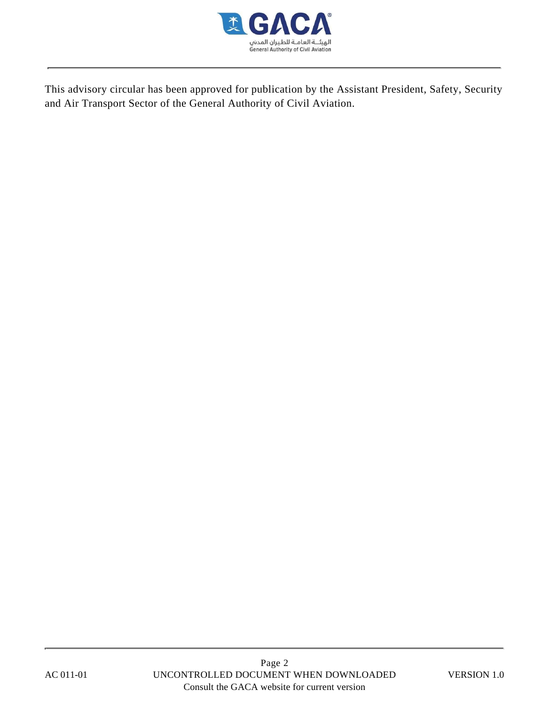

This advisory circular has been approved for publication by the Assistant President, Safety, Security and Air Transport Sector of the General Authority of Civil Aviation.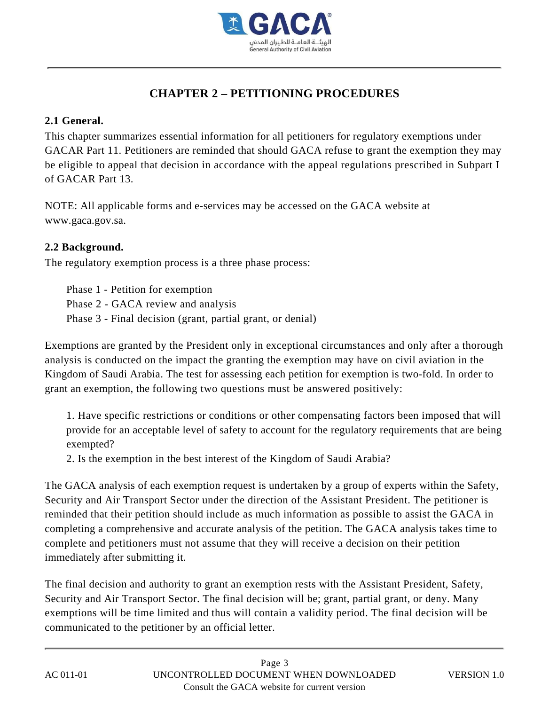

# **CHAPTER 2 – PETITIONING PROCEDURES**

#### **2.1 General.**

This chapter summarizes essential information for all petitioners for regulatory exemptions under GACAR Part 11. Petitioners are reminded that should GACA refuse to grant the exemption they may be eligible to appeal that decision in accordance with the appeal regulations prescribed in Subpart I of GACAR Part 13.

NOTE: All applicable forms and e-services may be accessed on the GACA website at www.gaca.gov.sa.

#### **2.2 Background.**

The regulatory exemption process is a three phase process:

Phase 1 - Petition for exemption Phase 2 - GACA review and analysis Phase 3 - Final decision (grant, partial grant, or denial)

Exemptions are granted by the President only in exceptional circumstances and only after a thorough analysis is conducted on the impact the granting the exemption may have on civil aviation in the Kingdom of Saudi Arabia. The test for assessing each petition for exemption is two-fold. In order to grant an exemption, the following two questions must be answered positively:

1. Have specific restrictions or conditions or other compensating factors been imposed that will provide for an acceptable level of safety to account for the regulatory requirements that are being exempted?

2. Is the exemption in the best interest of the Kingdom of Saudi Arabia?

The GACA analysis of each exemption request is undertaken by a group of experts within the Safety, Security and Air Transport Sector under the direction of the Assistant President. The petitioner is reminded that their petition should include as much information as possible to assist the GACA in completing a comprehensive and accurate analysis of the petition. The GACA analysis takes time to complete and petitioners must not assume that they will receive a decision on their petition immediately after submitting it.

The final decision and authority to grant an exemption rests with the Assistant President, Safety, Security and Air Transport Sector. The final decision will be; grant, partial grant, or deny. Many exemptions will be time limited and thus will contain a validity period. The final decision will be communicated to the petitioner by an official letter.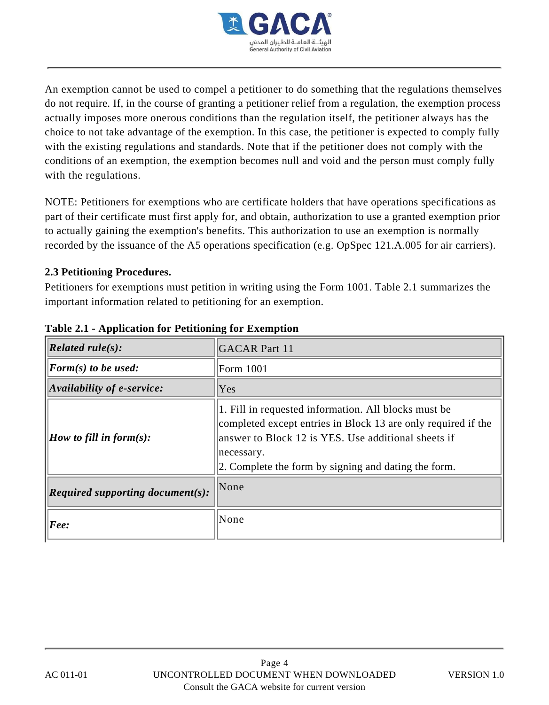

An exemption cannot be used to compel a petitioner to do something that the regulations themselves do not require. If, in the course of granting a petitioner relief from a regulation, the exemption process actually imposes more onerous conditions than the regulation itself, the petitioner always has the choice to not take advantage of the exemption. In this case, the petitioner is expected to comply fully with the existing regulations and standards. Note that if the petitioner does not comply with the conditions of an exemption, the exemption becomes null and void and the person must comply fully with the regulations.

NOTE: Petitioners for exemptions who are certificate holders that have operations specifications as part of their certificate must first apply for, and obtain, authorization to use a granted exemption prior to actually gaining the exemption's benefits. This authorization to use an exemption is normally recorded by the issuance of the A5 operations specification (e.g. OpSpec 121.A.005 for air carriers).

#### **2.3 Petitioning Procedures.**

Petitioners for exemptions must petition in writing using the Form 1001. Table 2.1 summarizes the important information related to petitioning for an exemption.

| $\left  \text{Related rule}(s) \right $                      | <b>GACAR Part 11</b>                                                                                                                                                                                                                               |
|--------------------------------------------------------------|----------------------------------------------------------------------------------------------------------------------------------------------------------------------------------------------------------------------------------------------------|
| $\left\vert \mathbf{F}orm(s) \text{ to be used:}\right\vert$ | <b>Form 1001</b>                                                                                                                                                                                                                                   |
| $\vert$ Availability of e-service:                           | Yes                                                                                                                                                                                                                                                |
| <i>How to fill in form(s):</i>                               | 1. Fill in requested information. All blocks must be<br>completed except entries in Block 13 are only required if the<br>answer to Block 12 is YES. Use additional sheets if<br>necessary.<br>2. Complete the form by signing and dating the form. |
| Required supporting document $(s)$ :                         | None                                                                                                                                                                                                                                               |
| [Fee:                                                        | None                                                                                                                                                                                                                                               |

#### **Table 2.1 - Application for Petitioning for Exemption**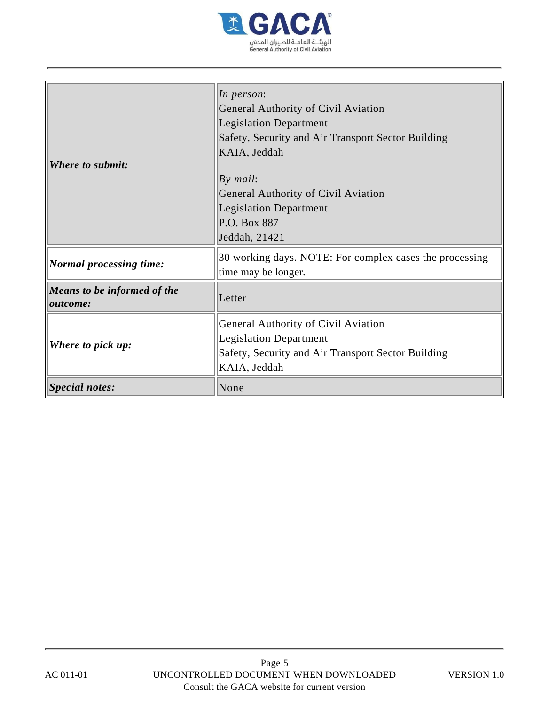

| <b>Where to submit:</b>                        | $\ln$ person:<br>General Authority of Civil Aviation<br><b>Legislation Department</b><br>Safety, Security and Air Transport Sector Building<br>KAIA, Jeddah<br>By mail:<br>General Authority of Civil Aviation<br><b>Legislation Department</b><br>P.O. Box 887<br>Jeddah, 21421 |  |
|------------------------------------------------|----------------------------------------------------------------------------------------------------------------------------------------------------------------------------------------------------------------------------------------------------------------------------------|--|
| Normal processing time:                        | 30 working days. NOTE: For complex cases the processing<br>time may be longer.                                                                                                                                                                                                   |  |
| Means to be informed of the<br><i>outcome:</i> | Letter                                                                                                                                                                                                                                                                           |  |
| Where to pick up:                              | General Authority of Civil Aviation<br><b>Legislation Department</b><br>Safety, Security and Air Transport Sector Building<br>KAIA, Jeddah                                                                                                                                       |  |
| Special notes:                                 | None                                                                                                                                                                                                                                                                             |  |